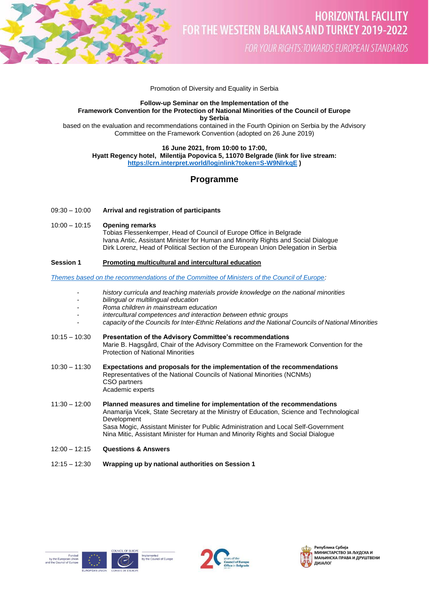

FOR YOUR RIGHTS: TOWARDS EUROPEAN STANDARDS

#### Promotion of Diversity and Equality in Serbia

# **Follow-up Seminar on the Implementation of the Framework Convention for the Protection of National Minorities of the Council of Europe by Serbia**

based on the evaluation and recommendations contained in the Fourth Opinion on Serbia by the Advisory Committee on the Framework Convention (adopted on 26 June 2019)

**16 June 2021, from 10:00 to 17:00,** 

**Hyatt Regency hotel, Milentija Popovica 5, 11070 Belgrade (link for live stream:** 

**<https://crn.interpret.world/loginlink?token=S-W9NlrkqE> )**

# **Programme**

# 09:30 – 10:00 **Arrival and registration of participants**

# 10:00 – 10:15 **Opening remarks**

Tobias Flessenkemper, Head of Council of Europe Office in Belgrade Ivana Antic, Assistant Minister for Human and Minority Rights and Social Dialogue Dirk Lorenz, Head of Political Section of the European Union Delegation in Serbia

# **Session 1 Promoting multicultural and intercultural education**

*[Themes based on the recommendations of the Committee of Ministers of the Council of Europe:](https://search.coe.int/cm/pages/result_details.aspx?objectid=0900001680a22771)*

- *- history curricula and teaching materials provide knowledge on the national minorities*
- *- bilingual or multilingual education*
- *- Roma children in mainstream education*
- *- intercultural competences and interaction between ethnic groups*
- *- capacity of the Councils for Inter-Ethnic Relations and the National Councils of National Minorities*
- 10:15 10:30 **Presentation of the Advisory Committee's recommendations** Marie B. Hagsgård, Chair of the Advisory Committee on the Framework Convention for the Protection of National Minorities
- 10:30 11:30 **Expectations and proposals for the implementation of the recommendations** Representatives of the National Councils of National Minorities (NCNMs) CSO partners Academic experts
- 11:30 12:00 **Planned measures and timeline for implementation of the recommendations** Anamarija Vicek, State Secretary at the Ministry of Education, Science and Technological **Development** Sasa Mogic, Assistant Minister for Public Administration and Local Self-Government Nina Mitic, Assistant Minister for Human and Minority Rights and Social Dialogue
- 12:00 12:15 **Questions & Answers**
- 12:15 12:30 **Wrapping up by national authorities on Session 1**









Република Србија МАЊИНСКА ПРАВА И ДРУШТВЕНИ ДИЈАЛОГ